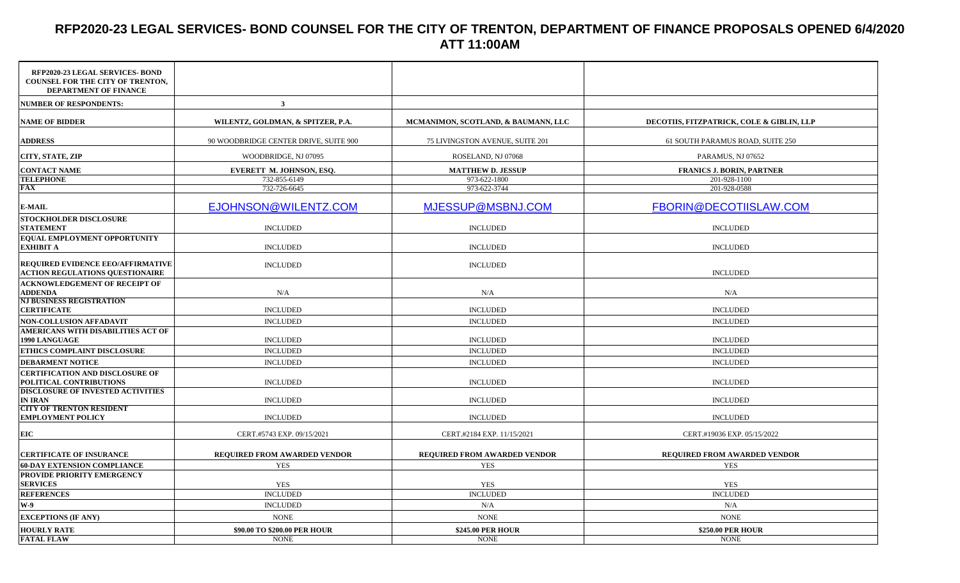## **RFP2020-23 LEGAL SERVICES- BOND COUNSEL FOR THE CITY OF TRENTON, DEPARTMENT OF FINANCE PROPOSALS OPENED 6/4/2020 ATT 11:00AM**

| RFP2020-23 LEGAL SERVICES- BOND<br><b>COUNSEL FOR THE CITY OF TRENTON.</b><br>DEPARTMENT OF FINANCE |                                       |                                     |                                           |
|-----------------------------------------------------------------------------------------------------|---------------------------------------|-------------------------------------|-------------------------------------------|
| <b>NUMBER OF RESPONDENTS:</b>                                                                       | 3 <sup>1</sup>                        |                                     |                                           |
| <b>NAME OF BIDDER</b>                                                                               | WILENTZ, GOLDMAN, & SPITZER, P.A.     | MCMANIMON, SCOTLAND, & BAUMANN, LLC | DECOTIIS, FITZPATRICK, COLE & GIBLIN, LLP |
| <b>ADDRESS</b>                                                                                      | 90 WOODBRIDGE CENTER DRIVE, SUITE 900 | 75 LIVINGSTON AVENUE, SUITE 201     | 61 SOUTH PARAMUS ROAD, SUITE 250          |
| CITY, STATE, ZIP                                                                                    | WOODBRIDGE, NJ 07095                  | ROSELAND, NJ 07068                  | PARAMUS, NJ 07652                         |
| <b>CONTACT NAME</b>                                                                                 | EVERETT M. JOHNSON, ESO.              | <b>MATTHEW D. JESSUP</b>            | <b>FRANICS J. BORIN, PARTNER</b>          |
| <b>TELEPHONE</b>                                                                                    | 732-855-6149                          | 973-622-1800                        | 201-928-1100                              |
| FAX                                                                                                 | 732-726-6645                          | 973-622-3744                        | 201-928-0588                              |
| <b>E-MAIL</b>                                                                                       | EJOHNSON@WILENTZ.COM                  | MJESSUP@MSBNJ.COM                   | FBORIN@DECOTIISLAW.COM                    |
| <b>STOCKHOLDER DISCLOSURE</b>                                                                       |                                       |                                     |                                           |
| <b>STATEMENT</b>                                                                                    | <b>INCLUDED</b>                       | <b>INCLUDED</b>                     | <b>INCLUDED</b>                           |
| <b>EQUAL EMPLOYMENT OPPORTUNITY</b><br><b>EXHIBIT A</b>                                             | <b>INCLUDED</b>                       | <b>INCLUDED</b>                     | <b>INCLUDED</b>                           |
| REQUIRED EVIDENCE EEO/AFFIRMATIVE<br><b>ACTION REGULATIONS QUESTIONAIRE</b>                         | <b>INCLUDED</b>                       | <b>INCLUDED</b>                     | <b>INCLUDED</b>                           |
| <b>ACKNOWLEDGEMENT OF RECEIPT OF</b><br><b>ADDENDA</b>                                              | N/A                                   | N/A                                 | N/A                                       |
| <b>NJ BUSINESS REGISTRATION</b><br><b>CERTIFICATE</b>                                               | <b>INCLUDED</b>                       | <b>INCLUDED</b>                     | <b>INCLUDED</b>                           |
| NON-COLLUSION AFFADAVIT                                                                             | <b>INCLUDED</b>                       | <b>INCLUDED</b>                     | <b>INCLUDED</b>                           |
| AMERICANS WITH DISABILITIES ACT OF<br><b>1990 LANGUAGE</b>                                          | <b>INCLUDED</b>                       | <b>INCLUDED</b>                     | <b>INCLUDED</b>                           |
| ETHICS COMPLAINT DISCLOSURE                                                                         | <b>INCLUDED</b>                       | <b>INCLUDED</b>                     | <b>INCLUDED</b>                           |
| <b>DEBARMENT NOTICE</b>                                                                             | <b>INCLUDED</b>                       | <b>INCLUDED</b>                     | <b>INCLUDED</b>                           |
| <b>CERTIFICATION AND DISCLOSURE OF</b><br>POLITICAL CONTRIBUTIONS                                   | <b>INCLUDED</b>                       | <b>INCLUDED</b>                     | <b>INCLUDED</b>                           |
| <b>DISCLOSURE OF INVESTED ACTIVITIES</b><br>IN IRAN                                                 | <b>INCLUDED</b>                       | <b>INCLUDED</b>                     | <b>INCLUDED</b>                           |
| <b>CITY OF TRENTON RESIDENT</b><br><b>EMPLOYMENT POLICY</b>                                         | <b>INCLUDED</b>                       | <b>INCLUDED</b>                     | <b>INCLUDED</b>                           |
| EIC                                                                                                 | CERT.#5743 EXP. 09/15/2021            | CERT.#2184 EXP. 11/15/2021          | CERT.#19036 EXP. 05/15/2022               |
| <b>CERTIFICATE OF INSURANCE</b>                                                                     | REQUIRED FROM AWARDED VENDOR          | REQUIRED FROM AWARDED VENDOR        | REQUIRED FROM AWARDED VENDOR              |
| <b>60-DAY EXTENSION COMPLIANCE</b>                                                                  | <b>YES</b>                            | <b>YES</b>                          | <b>YES</b>                                |
| PROVIDE PRIORITY EMERGENCY<br><b>SERVICES</b>                                                       | <b>YES</b>                            | YES                                 | <b>YES</b>                                |
| <b>REFERENCES</b>                                                                                   | <b>INCLUDED</b>                       | <b>INCLUDED</b>                     | <b>INCLUDED</b>                           |
| W-9                                                                                                 | <b>INCLUDED</b>                       | N/A                                 | N/A                                       |
| <b>EXCEPTIONS (IF ANY)</b>                                                                          | <b>NONE</b>                           | <b>NONE</b>                         | <b>NONE</b>                               |
| <b>HOURLY RATE</b>                                                                                  | \$90.00 TO \$200.00 PER HOUR          | <b>\$245.00 PER HOUR</b>            | \$250.00 PER HOUR                         |
| <b>FATAL FLAW</b>                                                                                   | <b>NONE</b>                           | <b>NONE</b>                         | <b>NONE</b>                               |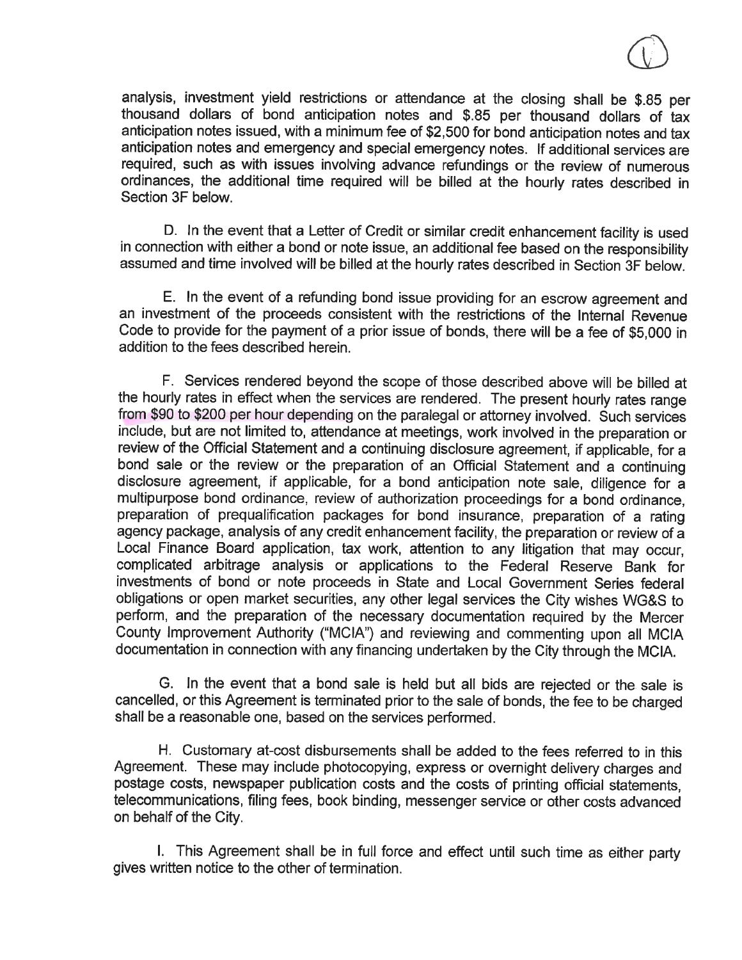analysis, investment yield restrictions or attendance at the closing shall be \$.85 per thousand dollars of bond anticipation notes and \$.85 per thousand dollars of tax anticipation notes issued, with a minimum fee of \$2,500 for bond anticipation notes and tax anticipation notes and emergency and special emergency notes. If additional services are required, such as with issues involving advance refundings or the review of numerous ordinances, the additional time required will be billed at the hourly rates described in Section 3F below.

D. In the event that a Letter of Credit or similar credit enhancement facility is used in connection with either a bond or note issue, an additional fee based on the responsibility assumed and time involved will be billed at the hourly rates described in Section 3F below.

E. In the event of a refunding bond issue providing for an escrow agreement and an investment of the proceeds consistent with the restrictions of the Internal Revenue Code to provide for the payment of a prior issue of bonds, there will be a fee of \$5,000 in addition to the fees described herein.

F. Services rendered beyond the scope of those described above will be billed at the hourly rates in effect when the services are rendered. The present hourly rates range from \$90 to \$200 per hour depending on the paralegal or attorney involved. Such services include, but are not limited to, attendance at meetings, work involved in the preparation or review of the Official Statement and a continuing disclosure agreement, if applicable, for a bond sale or the review or the preparation of an Official Statement and a continuing disclosure agreement, if applicable, for a bond anticipation note sale, diligence for a multipurpose bond ordinance, review of authorization proceedings for a bond ordinance, preparation of prequalification packages for bond insurance, preparation of a rating agency package, analysis of any credit enhancement facility, the preparation or review of a Local Finance Board application, tax work, attention to any litigation that may occur, complicated arbitrage analysis or applications to the Federal Reserve Bank for investments of bond or note proceeds in State and Local Government Series federal obligations or open market securities, any other legal services the City wishes WG&S to perform, and the preparation of the necessary documentation required by the Mercer County Improvement Authority ("MCIA") and reviewing and commenting upon all MCIA documentation in connection with any financing undertaken by the City through the MCIA.

G. In the event that a bond sale is held but all bids are rejected or the sale is cancelled, or this Agreement is terminated prior to the sale of bonds, the fee to be charged shall be a reasonable one, based on the services performed.

H. Customary at-cost disbursements shall be added to the fees referred to in this Agreement. These may include photocopying, express or overnight delivery charges and postage costs, newspaper publication costs and the costs of printing official statements, telecommunications, filing fees, book binding, messenger service or other costs advanced on behalf of the City.

I. This Agreement shall be in full force and effect until such time as either party gives written notice to the other of termination.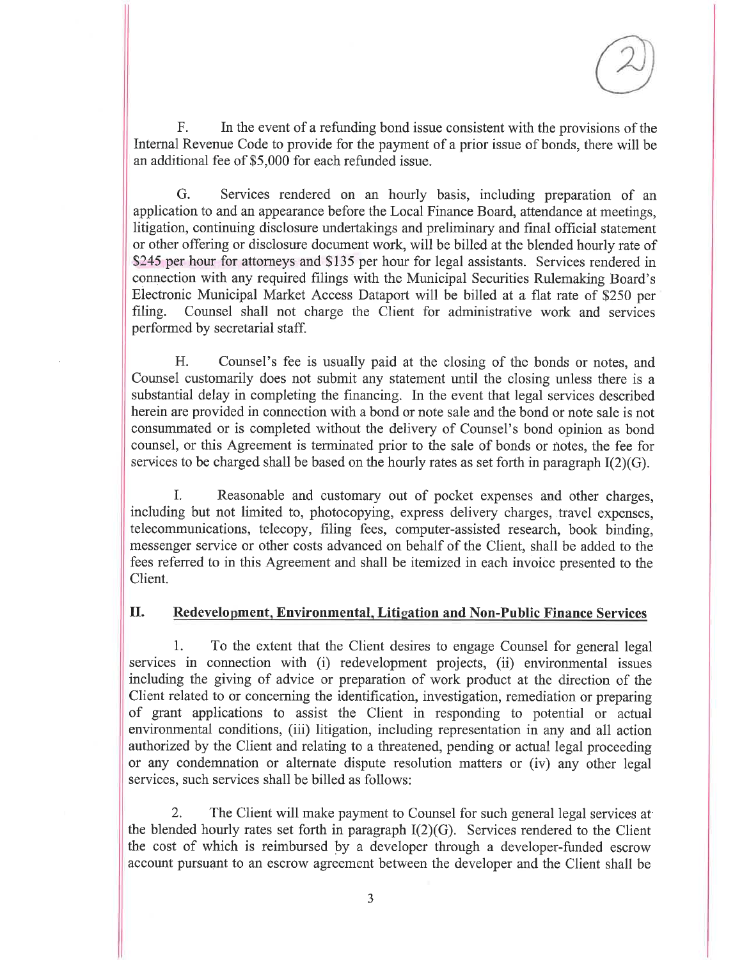$F.$ In the event of a refunding bond issue consistent with the provisions of the Internal Revenue Code to provide for the payment of a prior issue of bonds, there will be an additional fee of \$5,000 for each refunded issue.

G. Services rendered on an hourly basis, including preparation of an application to and an appearance before the Local Finance Board, attendance at meetings, litigation, continuing disclosure undertakings and preliminary and final official statement or other offering or disclosure document work, will be billed at the blended hourly rate of \$245 per hour for attorneys and \$135 per hour for legal assistants. Services rendered in connection with any required filings with the Municipal Securities Rulemaking Board's Electronic Municipal Market Access Dataport will be billed at a flat rate of \$250 per Counsel shall not charge the Client for administrative work and services filing. performed by secretarial staff.

H. Counsel's fee is usually paid at the closing of the bonds or notes, and Counsel customarily does not submit any statement until the closing unless there is a substantial delay in completing the financing. In the event that legal services described herein are provided in connection with a bond or note sale and the bond or note sale is not consummated or is completed without the delivery of Counsel's bond opinion as bond counsel, or this Agreement is terminated prior to the sale of bonds or notes, the fee for services to be charged shall be based on the hourly rates as set forth in paragraph  $I(2)(G)$ .

I. Reasonable and customary out of pocket expenses and other charges. including but not limited to, photocopying, express delivery charges, travel expenses, telecommunications, telecopy, filing fees, computer-assisted research, book binding, messenger service or other costs advanced on behalf of the Client, shall be added to the fees referred to in this Agreement and shall be itemized in each invoice presented to the Client.

## **II.** Redevelopment, Environmental, Litigation and Non-Public Finance Services

To the extent that the Client desires to engage Counsel for general legal 1. services in connection with (i) redevelopment projects, (ii) environmental issues including the giving of advice or preparation of work product at the direction of the Client related to or concerning the identification, investigation, remediation or preparing of grant applications to assist the Client in responding to potential or actual environmental conditions, (iii) litigation, including representation in any and all action authorized by the Client and relating to a threatened, pending or actual legal proceeding or any condemnation or alternate dispute resolution matters or (iv) any other legal services, such services shall be billed as follows:

The Client will make payment to Counsel for such general legal services at 2. the blended hourly rates set forth in paragraph  $I(2)(G)$ . Services rendered to the Client the cost of which is reimbursed by a developer through a developer-funded escrow account pursuant to an escrow agreement between the developer and the Client shall be